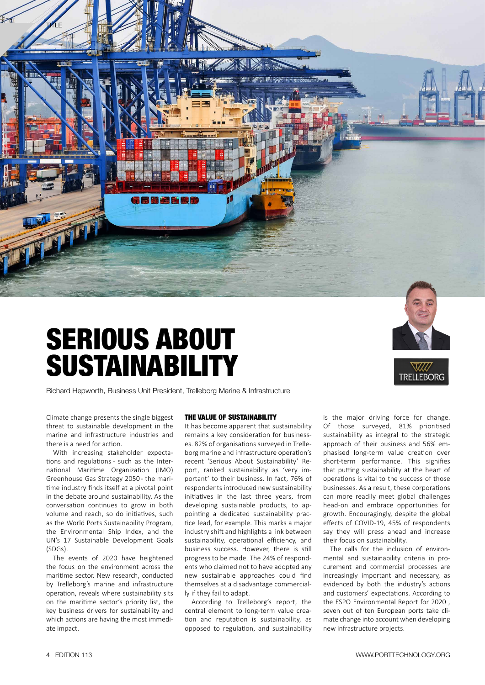

# SERIOUS ABOUT SUSTAINABILITY



**TRELLEBORG** 

Richard Hepworth, Business Unit President, Trelleborg Marine & Infrastructure

Climate change presents the single biggest threat to sustainable development in the marine and infrastructure industries and there is a need for action.

With increasing stakeholder expectations and regulations - such as the International Maritime Organization (IMO) Greenhouse Gas Strategy 2050 - the maritime industry finds itself at a pivotal point in the debate around sustainability. As the conversation continues to grow in both volume and reach, so do initiatives, such as the World Ports Sustainability Program, the Environmental Ship Index, and the UN's 17 Sustainable Development Goals (SDGs).

The events of 2020 have heightened the focus on the environment across the maritime sector. New research, conducted by Trelleborg's marine and infrastructure operation, reveals where sustainability sits on the maritime sector's priority list, the key business drivers for sustainability and which actions are having the most immediate impact.

#### THE VALUE OF SUSTAINABILITY

It has become apparent that sustainability remains a key consideration for businesses. 82% of organisations surveyed in Trelleborg marine and infrastructure operation's recent 'Serious About Sustainability' Report, ranked sustainability as 'very important' to their business. In fact, 76% of respondents introduced new sustainability initiatives in the last three years, from developing sustainable products, to appointing a dedicated sustainability practice lead, for example. This marks a major industry shift and highlights a link between sustainability, operational efficiency, and business success. However, there is still progress to be made. The 24% of respondents who claimed not to have adopted any new sustainable approaches could find themselves at a disadvantage commercially if they fail to adapt.

According to Trelleborg's report, the central element to long-term value creation and reputation is sustainability, as opposed to regulation, and sustainability is the major driving force for change. Of those surveyed, 81% prioritised sustainability as integral to the strategic approach of their business and 56% emphasised long-term value creation over short-term performance. This signifies that putting sustainability at the heart of operations is vital to the success of those businesses. As a result, these corporations can more readily meet global challenges head-on and embrace opportunities for growth. Encouragingly, despite the global effects of COVID-19, 45% of respondents say they will press ahead and increase their focus on sustainability.

The calls for the inclusion of environmental and sustainability criteria in procurement and commercial processes are increasingly important and necessary, as evidenced by both the industry's actions and customers' expectations. According to the ESPO Environmental Report for 2020 , seven out of ten European ports take climate change into account when developing new infrastructure projects.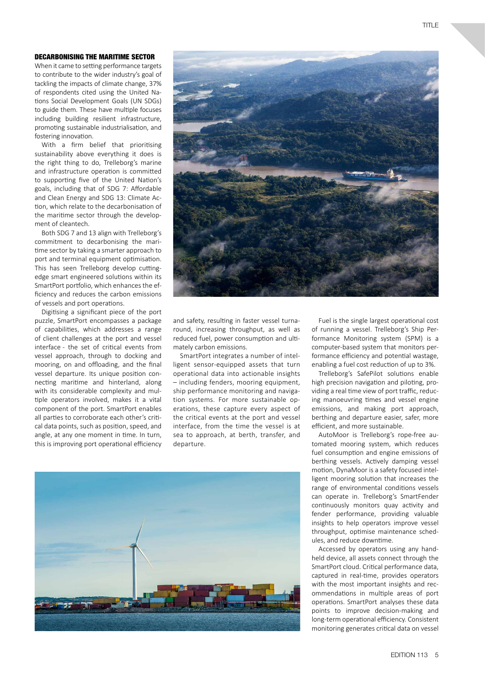### DECARBONISING THE MARITIME SECTOR

When it came to setting performance targets to contribute to the wider industry's goal of tackling the impacts of climate change, 37% of respondents cited using the United Nations Social Development Goals (UN SDGs) to guide them. These have multiple focuses including building resilient infrastructure, promoting sustainable industrialisation, and fostering innovation.

With a firm belief that prioritising sustainability above everything it does is the right thing to do, Trelleborg's marine and infrastructure operation is committed to supporting five of the United Nation's goals, including that of SDG 7: Affordable and Clean Energy and SDG 13: Climate Action, which relate to the decarbonisation of the maritime sector through the development of cleantech.

Both SDG 7 and 13 align with Trelleborg's commitment to decarbonising the maritime sector by taking a smarter approach to port and terminal equipment optimisation. This has seen Trelleborg develop cuttingedge smart engineered solutions within its SmartPort portfolio, which enhances the efficiency and reduces the carbon emissions of vessels and port operations.

Digitising a significant piece of the port puzzle, SmartPort encompasses a package of capabilities, which addresses a range of client challenges at the port and vessel interface - the set of critical events from vessel approach, through to docking and mooring, on and offloading, and the final vessel departure. Its unique position connecting maritime and hinterland, along with its considerable complexity and multiple operators involved, makes it a vital component of the port. SmartPort enables all parties to corroborate each other's critical data points, such as position, speed, and angle, at any one moment in time. In turn, this is improving port operational efficiency



and safety, resulting in faster vessel turnaround, increasing throughput, as well as reduced fuel, power consumption and ultimately carbon emissions.

SmartPort integrates a number of intelligent sensor-equipped assets that turn operational data into actionable insights – including fenders, mooring equipment, ship performance monitoring and navigation systems. For more sustainable operations, these capture every aspect of the critical events at the port and vessel interface, from the time the vessel is at sea to approach, at berth, transfer, and departure.



Fuel is the single largest operational cost of running a vessel. Trelleborg's Ship Performance Monitoring system (SPM) is a computer-based system that monitors performance efficiency and potential wastage, enabling a fuel cost reduction of up to 3%.

Trelleborg's SafePilot solutions enable high precision navigation and piloting, providing a real time view of port traffic, reducing manoeuvring times and vessel engine emissions, and making port approach, berthing and departure easier, safer, more efficient, and more sustainable.

AutoMoor is Trelleborg's rope-free automated mooring system, which reduces fuel consumption and engine emissions of berthing vessels. Actively damping vessel motion, DynaMoor is a safety focused intelligent mooring solution that increases the range of environmental conditions vessels can operate in. Trelleborg's SmartFender continuously monitors quay activity and fender performance, providing valuable insights to help operators improve vessel throughput, optimise maintenance schedules, and reduce downtime.

Accessed by operators using any handheld device, all assets connect through the SmartPort cloud. Critical performance data, captured in real-time, provides operators with the most important insights and recommendations in multiple areas of port operations. SmartPort analyses these data points to improve decision-making and long-term operational efficiency. Consistent monitoring generates critical data on vessel